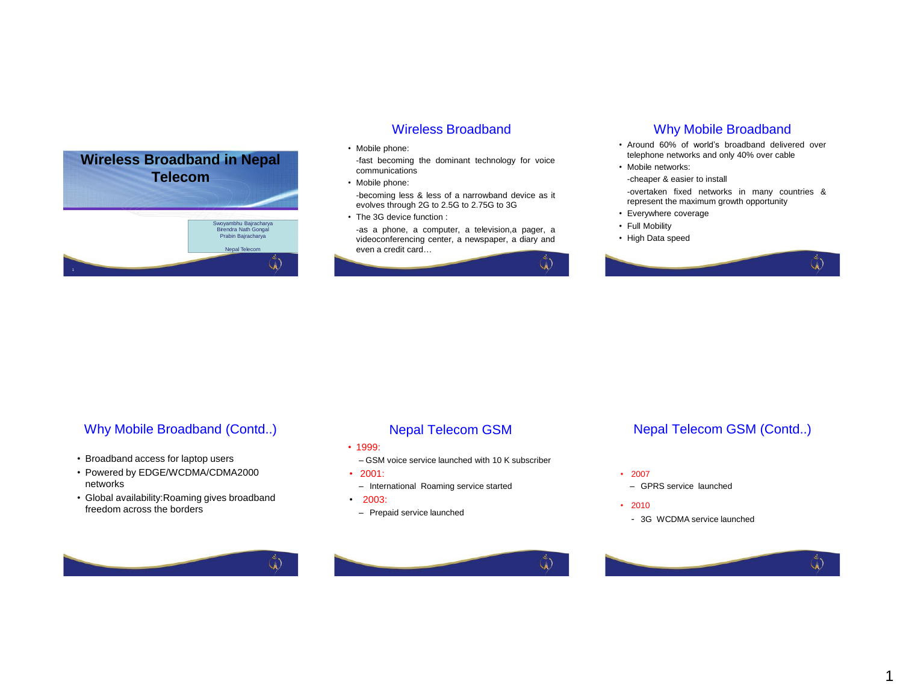

### Wireless Broadband

• Mobile phone:

-fast becoming the dominant technology for voice communications

• Mobile phone:

-becoming less & less of a narrowband device as it evolves through 2G to 2.5G to 2.75G to 3G

• The 3G device function :

-as a phone, a computer, a television,a pager, a videoconferencing center, a newspaper, a diary and even a credit card…



### Why Mobile Broadband

- Around 60% of world's broadband delivered over telephone networks and only 40% over cable
- Mobile networks:
- -cheaper & easier to install

-overtaken fixed networks in many countries & represent the maximum growth opportunity

- Everywhere coverage
- Full Mobility
- High Data speed



# Why Mobile Broadband (Contd..)

- Broadband access for laptop users
- Powered by EDGE/WCDMA/CDMA2000 networks
- Global availability:Roaming gives broadband freedom across the borders



- 1999:
	- GSM voice service launched with 10 K subscriber
- 2001:
- International Roaming service started
- 2003:

 $\mathring{a}$ 

– Prepaid service launched



### Nepal Telecom GSM (Contd..)

- 2007
- GPRS service launched
- 2010
	- 3G WCDMA service launched



1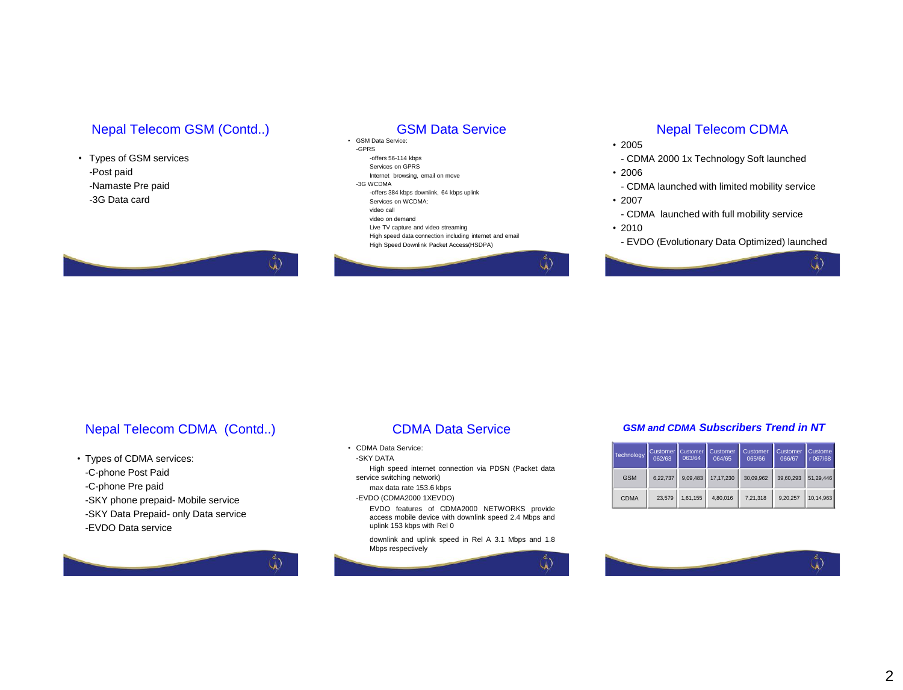### Nepal Telecom GSM (Contd..)

### • Types of GSM services -Post paid -Namaste Pre paid -3G Data card

### GSM Data Service

• GSM Data Service: -GPRS -offers 56-114 kbps Services on GPRS Internet browsing, email on move -3G WCDMA -offers 384 kbps downlink, 64 kbps uplink Services on WCDMA: video call video on demand Live TV capture and video streaming High speed data connection including internet and email High Speed Downlink Packet Access(HSDPA)

## Nepal Telecom CDMA

• 2005

- CDMA 2000 1x Technology Soft launched

- 2006
	- CDMA launched with limited mobility service
- 2007
	- CDMA launched with full mobility service
- 2010

GK.

- EVDO (Evolutionary Data Optimized) launched

**A** 



Nepal Telecom CDMA (Contd..)

 $\mathring{a}$ 

• Types of CDMA services: -C-phone Post Paid -C-phone Pre paid -SKY phone prepaid- Mobile service -SKY Data Prepaid- only Data service -EVDO Data service

### CDMA Data Service

• CDMA Data Service:

-SKY DATA

High speed internet connection via PDSN (Packet data service switching network)

max data rate 153.6 kbps -EVDO (CDMA2000 1XEVDO)

EVDO features of CDMA2000 NETWORKS provide access mobile device with downlink speed 2.4 Mbps and uplink 153 kbps with Rel 0

downlink and uplink speed in Rel A 3.1 Mbps and 1.8 Mbps respectively



### *GSM and CDMA Subscribers Trend in NT*

|  | Technology  | Customer<br>062/63 | <b>Customer</b><br>063/64 | Customer<br>064/65 | Customer<br>065/66 | Customer<br>066/67 | <b>Custome</b><br>r 067/68 |
|--|-------------|--------------------|---------------------------|--------------------|--------------------|--------------------|----------------------------|
|  | <b>GSM</b>  | 6.22.737           | 9.09.483                  | 17.17.230          | 30.09.962          | 39.60.293          | 51.29.446                  |
|  | <b>CDMA</b> | 23.579             | 1.61.155                  | 4.80.016           | 7.21.318           | 9.20.257           | 10.14.963                  |